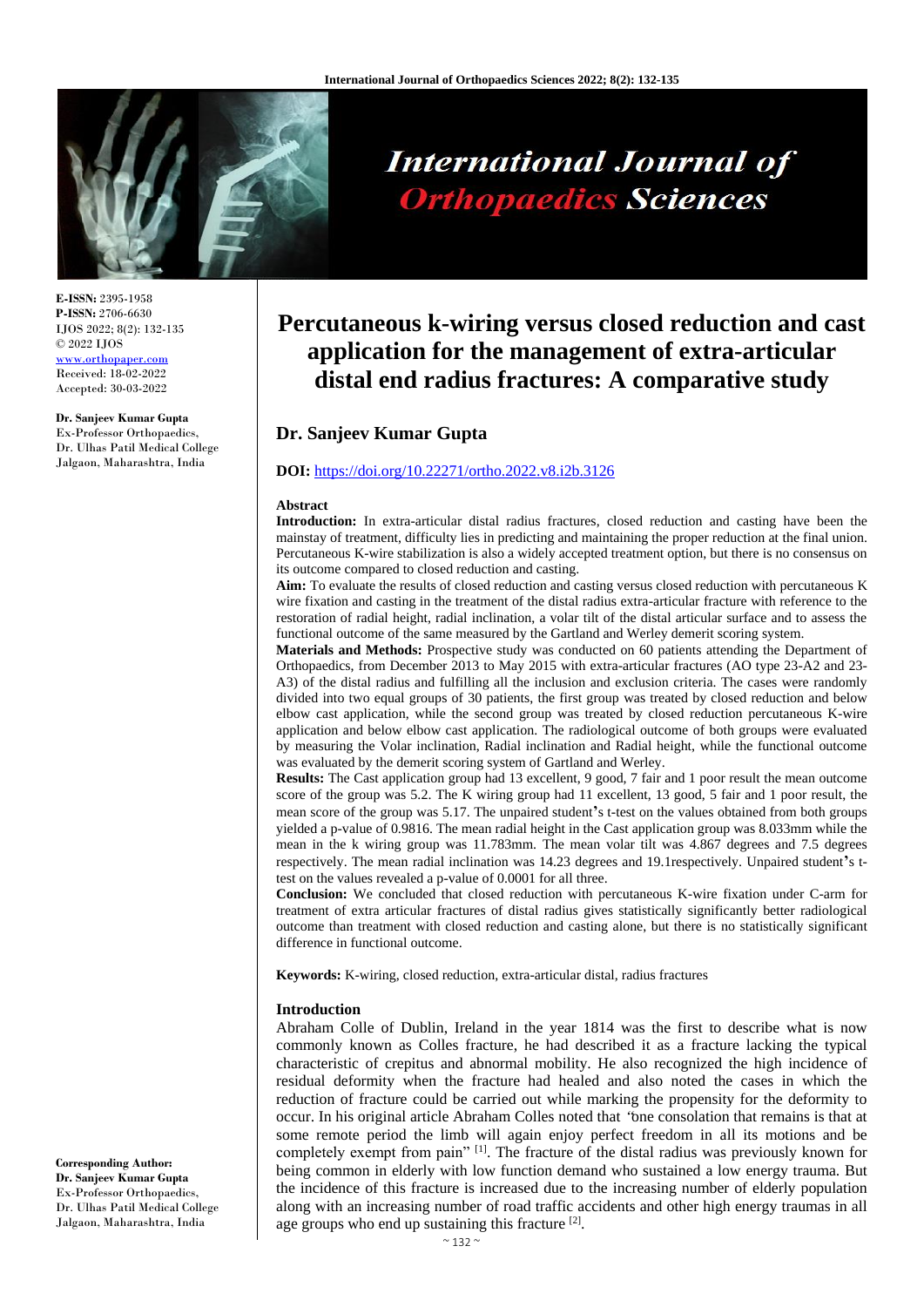

**E-ISSN:** 2395-1958 **P-ISSN:** 2706-6630 IJOS 2022; 8(2): 132-135 © 2022 IJOS www.orthopap Received: 18-02-2022

Accepted: 30-03-2022

#### **Dr. Sanjeev Kumar Gupta**

Ex-Professor Orthopaedics, Dr. Ulhas Patil Medical College Jalgaon, Maharashtra, India

# **International Journal of Orthopaedics Sciences**

# **Percutaneous k-wiring versus closed reduction and cast application for the management of extra-articular distal end radius fractures: A comparative study**

# **Dr. Sanjeev Kumar Gupta**

# **DOI:** <https://doi.org/10.22271/ortho.2022.v8.i2b.3126>

#### **Abstract**

**Introduction:** In extra-articular distal radius fractures, closed reduction and casting have been the mainstay of treatment, difficulty lies in predicting and maintaining the proper reduction at the final union. Percutaneous K-wire stabilization is also a widely accepted treatment option, but there is no consensus on its outcome compared to closed reduction and casting.

**Aim:** To evaluate the results of closed reduction and casting versus closed reduction with percutaneous K wire fixation and casting in the treatment of the distal radius extra-articular fracture with reference to the restoration of radial height, radial inclination, a volar tilt of the distal articular surface and to assess the functional outcome of the same measured by the Gartland and Werley demerit scoring system.

**Materials and Methods:** Prospective study was conducted on 60 patients attending the Department of Orthopaedics, from December 2013 to May 2015 with extra-articular fractures (AO type 23-A2 and 23- A3) of the distal radius and fulfilling all the inclusion and exclusion criteria. The cases were randomly divided into two equal groups of 30 patients, the first group was treated by closed reduction and below elbow cast application, while the second group was treated by closed reduction percutaneous K-wire application and below elbow cast application. The radiological outcome of both groups were evaluated by measuring the Volar inclination, Radial inclination and Radial height, while the functional outcome was evaluated by the demerit scoring system of Gartland and Werley.

**Results:** The Cast application group had 13 excellent, 9 good, 7 fair and 1 poor result the mean outcome score of the group was 5.2. The K wiring group had 11 excellent, 13 good, 5 fair and 1 poor result, the mean score of the group was 5.17. The unpaired student**'**s t-test on the values obtained from both groups yielded a p-value of 0.9816. The mean radial height in the Cast application group was 8.033mm while the mean in the k wiring group was 11.783mm. The mean volar tilt was 4.867 degrees and 7.5 degrees respectively. The mean radial inclination was 14.23 degrees and 19.1respectively. Unpaired student**'**s ttest on the values revealed a p-value of 0.0001 for all three.

**Conclusion:** We concluded that closed reduction with percutaneous K-wire fixation under C-arm for treatment of extra articular fractures of distal radius gives statistically significantly better radiological outcome than treatment with closed reduction and casting alone, but there is no statistically significant difference in functional outcome.

**Keywords:** K-wiring, closed reduction, extra-articular distal, radius fractures

#### **Introduction**

Abraham Colle of Dublin, Ireland in the year 1814 was the first to describe what is now commonly known as Colles fracture, he had described it as a fracture lacking the typical characteristic of crepitus and abnormal mobility. He also recognized the high incidence of residual deformity when the fracture had healed and also noted the cases in which the reduction of fracture could be carried out while marking the propensity for the deformity to occur. In his original article Abraham Colles noted that "one consolation that remains is that at some remote period the limb will again enjoy perfect freedom in all its motions and be completely exempt from pain"  $[1]$ . The fracture of the distal radius was previously known for being common in elderly with low function demand who sustained a low energy trauma. But the incidence of this fracture is increased due to the increasing number of elderly population along with an increasing number of road traffic accidents and other high energy traumas in all age groups who end up sustaining this fracture [2].

**Corresponding Author: Dr. Sanjeev Kumar Gupta** Ex-Professor Orthopaedics, Dr. Ulhas Patil Medical College Jalgaon, Maharashtra, India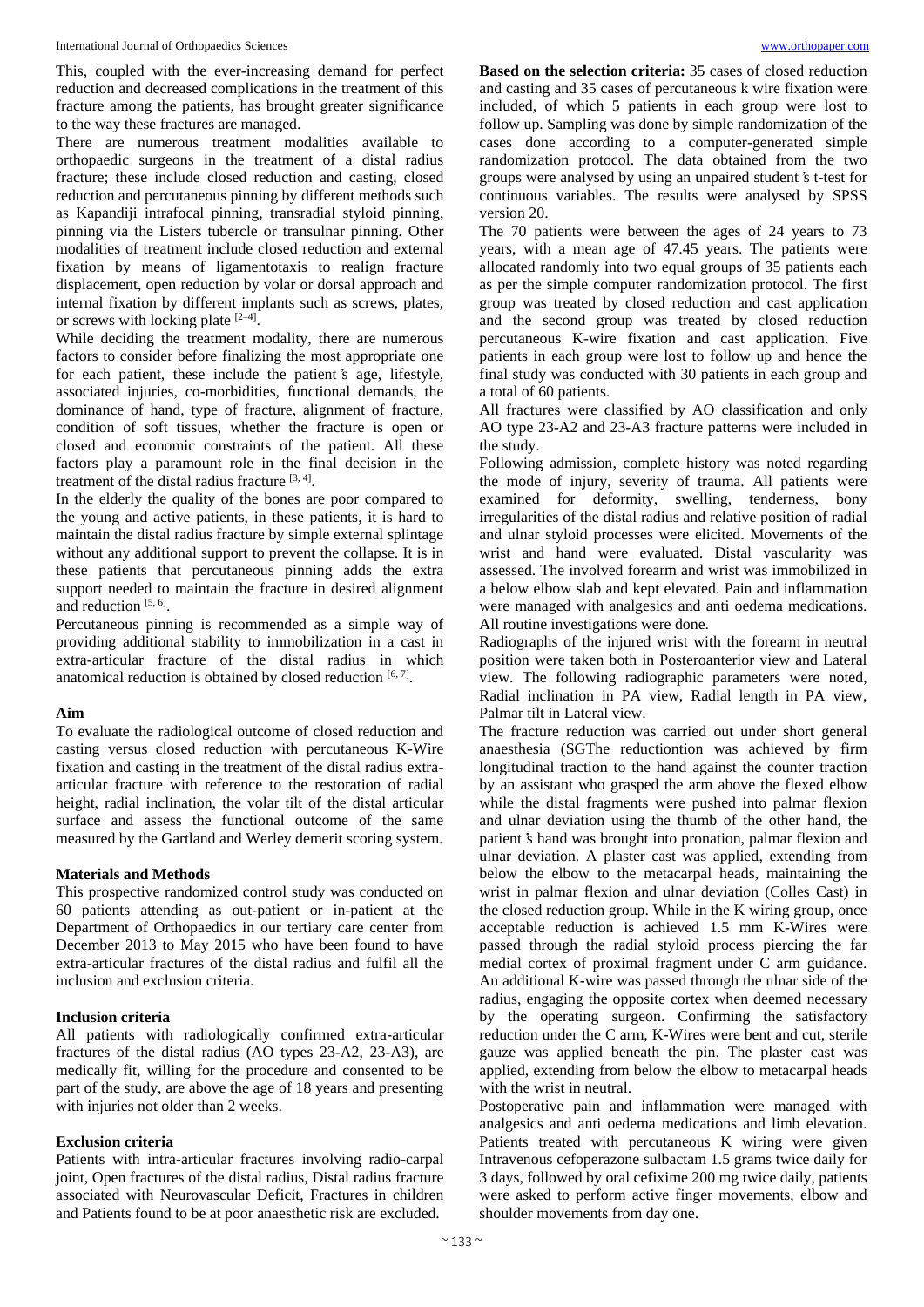This, coupled with the ever-increasing demand for perfect reduction and decreased complications in the treatment of this fracture among the patients, has brought greater significance to the way these fractures are managed.

There are numerous treatment modalities available to orthopaedic surgeons in the treatment of a distal radius fracture; these include closed reduction and casting, closed reduction and percutaneous pinning by different methods such as Kapandiji intrafocal pinning, transradial styloid pinning, pinning via the Listers tubercle or transulnar pinning. Other modalities of treatment include closed reduction and external fixation by means of ligamentotaxis to realign fracture displacement, open reduction by volar or dorsal approach and internal fixation by different implants such as screws, plates, or screws with locking plate  $[2-4]$ .

While deciding the treatment modality, there are numerous factors to consider before finalizing the most appropriate one for each patient, these include the patient's age, lifestyle, associated injuries, co-morbidities, functional demands, the dominance of hand, type of fracture, alignment of fracture, condition of soft tissues, whether the fracture is open or closed and economic constraints of the patient. All these factors play a paramount role in the final decision in the treatment of the distal radius fracture [3, 4].

In the elderly the quality of the bones are poor compared to the young and active patients, in these patients, it is hard to maintain the distal radius fracture by simple external splintage without any additional support to prevent the collapse. It is in these patients that percutaneous pinning adds the extra support needed to maintain the fracture in desired alignment and reduction [5, 6].

Percutaneous pinning is recommended as a simple way of providing additional stability to immobilization in a cast in extra-articular fracture of the distal radius in which anatomical reduction is obtained by closed reduction  $[6, 7]$ .

## **Aim**

To evaluate the radiological outcome of closed reduction and casting versus closed reduction with percutaneous K-Wire fixation and casting in the treatment of the distal radius extraarticular fracture with reference to the restoration of radial height, radial inclination, the volar tilt of the distal articular surface and assess the functional outcome of the same measured by the Gartland and Werley demerit scoring system.

## **Materials and Methods**

This prospective randomized control study was conducted on 60 patients attending as out-patient or in-patient at the Department of Orthopaedics in our tertiary care center from December 2013 to May 2015 who have been found to have extra-articular fractures of the distal radius and fulfil all the inclusion and exclusion criteria.

# **Inclusion criteria**

All patients with radiologically confirmed extra-articular fractures of the distal radius (AO types 23-A2, 23-A3), are medically fit, willing for the procedure and consented to be part of the study, are above the age of 18 years and presenting with injuries not older than 2 weeks.

## **Exclusion criteria**

Patients with intra-articular fractures involving radio-carpal joint, Open fractures of the distal radius, Distal radius fracture associated with Neurovascular Deficit, Fractures in children and Patients found to be at poor anaesthetic risk are excluded.

**Based on the selection criteria:** 35 cases of closed reduction and casting and 35 cases of percutaneous k wire fixation were included, of which 5 patients in each group were lost to follow up. Sampling was done by simple randomization of the cases done according to a computer-generated simple randomization protocol. The data obtained from the two groups were analysed by using an unpaired student's t-test for continuous variables. The results were analysed by SPSS version 20.

The 70 patients were between the ages of 24 years to 73 years, with a mean age of 47.45 years. The patients were allocated randomly into two equal groups of 35 patients each as per the simple computer randomization protocol. The first group was treated by closed reduction and cast application and the second group was treated by closed reduction percutaneous K-wire fixation and cast application. Five patients in each group were lost to follow up and hence the final study was conducted with 30 patients in each group and a total of 60 patients.

All fractures were classified by AO classification and only AO type 23-A2 and 23-A3 fracture patterns were included in the study.

Following admission, complete history was noted regarding the mode of injury, severity of trauma. All patients were examined for deformity, swelling, tenderness, bony irregularities of the distal radius and relative position of radial and ulnar styloid processes were elicited. Movements of the wrist and hand were evaluated. Distal vascularity was assessed. The involved forearm and wrist was immobilized in a below elbow slab and kept elevated. Pain and inflammation were managed with analgesics and anti oedema medications. All routine investigations were done.

Radiographs of the injured wrist with the forearm in neutral position were taken both in Posteroanterior view and Lateral view. The following radiographic parameters were noted, Radial inclination in PA view, Radial length in PA view, Palmar tilt in Lateral view.

The fracture reduction was carried out under short general anaesthesia (SGThe reductiontion was achieved by firm longitudinal traction to the hand against the counter traction by an assistant who grasped the arm above the flexed elbow while the distal fragments were pushed into palmar flexion and ulnar deviation using the thumb of the other hand, the patient's hand was brought into pronation, palmar flexion and ulnar deviation. A plaster cast was applied, extending from below the elbow to the metacarpal heads, maintaining the wrist in palmar flexion and ulnar deviation (Colles Cast) in the closed reduction group. While in the K wiring group, once acceptable reduction is achieved 1.5 mm K-Wires were passed through the radial styloid process piercing the far medial cortex of proximal fragment under C arm guidance. An additional K-wire was passed through the ulnar side of the radius, engaging the opposite cortex when deemed necessary by the operating surgeon. Confirming the satisfactory reduction under the C arm, K-Wires were bent and cut, sterile gauze was applied beneath the pin. The plaster cast was applied, extending from below the elbow to metacarpal heads with the wrist in neutral.

Postoperative pain and inflammation were managed with analgesics and anti oedema medications and limb elevation. Patients treated with percutaneous K wiring were given Intravenous cefoperazone sulbactam 1.5 grams twice daily for 3 days, followed by oral cefixime 200 mg twice daily, patients were asked to perform active finger movements, elbow and shoulder movements from day one.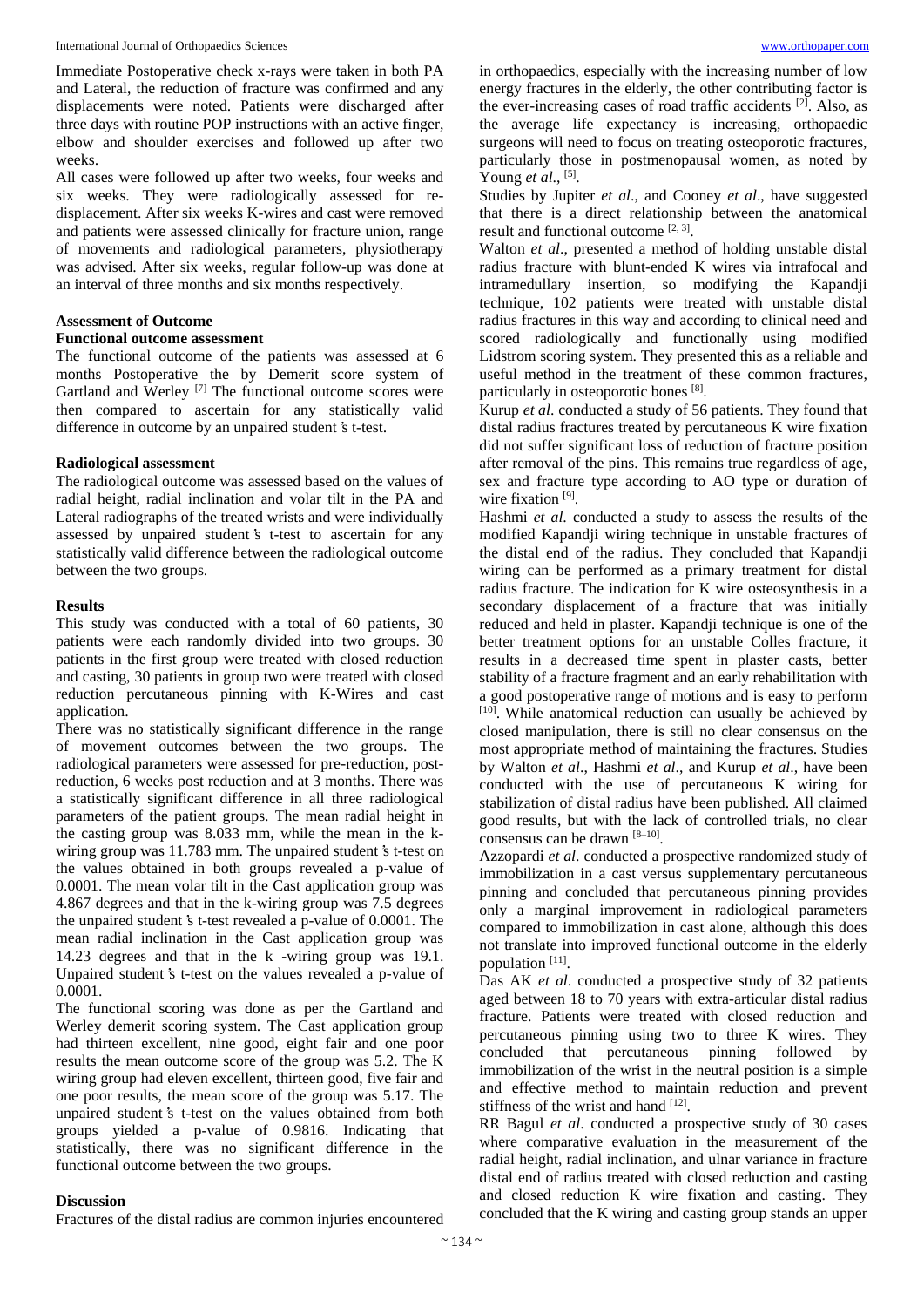Immediate Postoperative check x-rays were taken in both PA and Lateral, the reduction of fracture was confirmed and any displacements were noted. Patients were discharged after three days with routine POP instructions with an active finger, elbow and shoulder exercises and followed up after two weeks.

All cases were followed up after two weeks, four weeks and six weeks. They were radiologically assessed for redisplacement. After six weeks K-wires and cast were removed and patients were assessed clinically for fracture union, range of movements and radiological parameters, physiotherapy was advised. After six weeks, regular follow-up was done at an interval of three months and six months respectively.

#### **Assessment of Outcome**

# **Functional outcome assessment**

The functional outcome of the patients was assessed at 6 months Postoperative the by Demerit score system of Gartland and Werley<sup>[7]</sup> The functional outcome scores were then compared to ascertain for any statistically valid difference in outcome by an unpaired student's t-test.

#### **Radiological assessment**

The radiological outcome was assessed based on the values of radial height, radial inclination and volar tilt in the PA and Lateral radiographs of the treated wrists and were individually assessed by unpaired student's t-test to ascertain for any statistically valid difference between the radiological outcome between the two groups.

# **Results**

This study was conducted with a total of 60 patients, 30 patients were each randomly divided into two groups. 30 patients in the first group were treated with closed reduction and casting, 30 patients in group two were treated with closed reduction percutaneous pinning with K-Wires and cast application.

There was no statistically significant difference in the range of movement outcomes between the two groups. The radiological parameters were assessed for pre-reduction, postreduction, 6 weeks post reduction and at 3 months. There was a statistically significant difference in all three radiological parameters of the patient groups. The mean radial height in the casting group was 8.033 mm, while the mean in the kwiring group was 11.783 mm. The unpaired student's t-test on the values obtained in both groups revealed a p-value of 0.0001. The mean volar tilt in the Cast application group was 4.867 degrees and that in the k-wiring group was 7.5 degrees the unpaired student's t-test revealed a p-value of 0.0001. The mean radial inclination in the Cast application group was 14.23 degrees and that in the k -wiring group was 19.1. Unpaired student's t-test on the values revealed a p-value of 0.0001.

The functional scoring was done as per the Gartland and Werley demerit scoring system. The Cast application group had thirteen excellent, nine good, eight fair and one poor results the mean outcome score of the group was 5.2. The K wiring group had eleven excellent, thirteen good, five fair and one poor results, the mean score of the group was 5.17. The unpaired student's t-test on the values obtained from both groups yielded a p-value of 0.9816. Indicating that statistically, there was no significant difference in the functional outcome between the two groups.

#### **Discussion**

Fractures of the distal radius are common injuries encountered

in orthopaedics, especially with the increasing number of low energy fractures in the elderly, the other contributing factor is the ever-increasing cases of road traffic accidents <sup>[2]</sup>. Also, as the average life expectancy is increasing, orthopaedic surgeons will need to focus on treating osteoporotic fractures, particularly those in postmenopausal women, as noted by Young *et al.*, <sup>[5]</sup>.

Studies by Jupiter *et al*., and Cooney *et al*., have suggested that there is a direct relationship between the anatomical result and functional outcome [2, 3] .

Walton *et al*., presented a method of holding unstable distal radius fracture with blunt-ended K wires via intrafocal and intramedullary insertion, so modifying the Kapandji technique, 102 patients were treated with unstable distal radius fractures in this way and according to clinical need and scored radiologically and functionally using modified Lidstrom scoring system. They presented this as a reliable and useful method in the treatment of these common fractures, particularly in osteoporotic bones [8].

Kurup *et al*. conducted a study of 56 patients. They found that distal radius fractures treated by percutaneous K wire fixation did not suffer significant loss of reduction of fracture position after removal of the pins. This remains true regardless of age, sex and fracture type according to AO type or duration of wire fixation<sup>[9]</sup>.

Hashmi *et al*. conducted a study to assess the results of the modified Kapandji wiring technique in unstable fractures of the distal end of the radius. They concluded that Kapandji wiring can be performed as a primary treatment for distal radius fracture. The indication for K wire osteosynthesis in a secondary displacement of a fracture that was initially reduced and held in plaster. Kapandji technique is one of the better treatment options for an unstable Colles fracture, it results in a decreased time spent in plaster casts, better stability of a fracture fragment and an early rehabilitation with a good postoperative range of motions and is easy to perform [10]. While anatomical reduction can usually be achieved by closed manipulation, there is still no clear consensus on the most appropriate method of maintaining the fractures. Studies by Walton *et al*., Hashmi *et al*., and Kurup *et al*., have been conducted with the use of percutaneous K wiring for stabilization of distal radius have been published. All claimed good results, but with the lack of controlled trials, no clear consensus can be drawn [8–10] .

Azzopardi *et al*. conducted a prospective randomized study of immobilization in a cast versus supplementary percutaneous pinning and concluded that percutaneous pinning provides only a marginal improvement in radiological parameters compared to immobilization in cast alone, although this does not translate into improved functional outcome in the elderly population [11].

Das AK *et al*. conducted a prospective study of 32 patients aged between 18 to 70 years with extra-articular distal radius fracture. Patients were treated with closed reduction and percutaneous pinning using two to three K wires. They concluded that percutaneous pinning followed by immobilization of the wrist in the neutral position is a simple and effective method to maintain reduction and prevent stiffness of the wrist and hand [12].

RR Bagul *et al*. conducted a prospective study of 30 cases where comparative evaluation in the measurement of the radial height, radial inclination, and ulnar variance in fracture distal end of radius treated with closed reduction and casting and closed reduction K wire fixation and casting. They concluded that the K wiring and casting group stands an upper